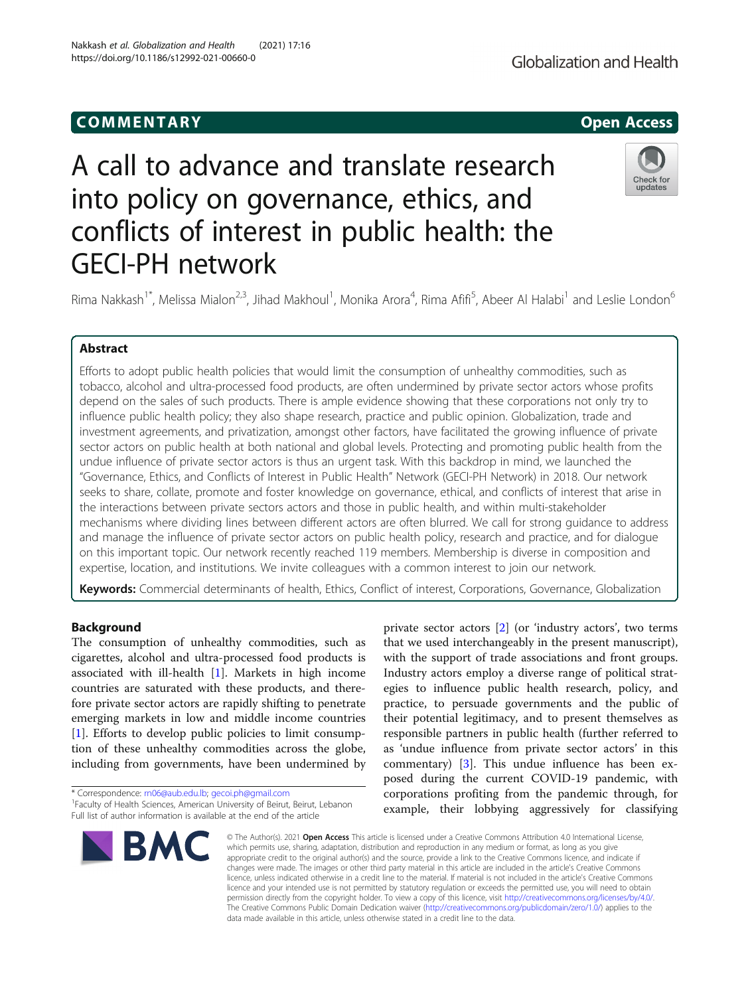## COMM EN TARY Open Access

# A call to advance and translate research into policy on governance, ethics, and conflicts of interest in public health: the GECI-PH network

Rima Nakkash<sup>1\*</sup>, Melissa Mialon<sup>2,3</sup>, Jihad Makhoul<sup>1</sup>, Monika Arora<sup>4</sup>, Rima Afifi<sup>5</sup>, Abeer Al Halabi<sup>1</sup> and Leslie London<sup>6</sup>

## Abstract

Efforts to adopt public health policies that would limit the consumption of unhealthy commodities, such as tobacco, alcohol and ultra-processed food products, are often undermined by private sector actors whose profits depend on the sales of such products. There is ample evidence showing that these corporations not only try to influence public health policy; they also shape research, practice and public opinion. Globalization, trade and investment agreements, and privatization, amongst other factors, have facilitated the growing influence of private sector actors on public health at both national and global levels. Protecting and promoting public health from the undue influence of private sector actors is thus an urgent task. With this backdrop in mind, we launched the "Governance, Ethics, and Conflicts of Interest in Public Health" Network (GECI-PH Network) in 2018. Our network seeks to share, collate, promote and foster knowledge on governance, ethical, and conflicts of interest that arise in the interactions between private sectors actors and those in public health, and within multi-stakeholder mechanisms where dividing lines between different actors are often blurred. We call for strong guidance to address and manage the influence of private sector actors on public health policy, research and practice, and for dialogue on this important topic. Our network recently reached 119 members. Membership is diverse in composition and expertise, location, and institutions. We invite colleagues with a common interest to join our network.

Keywords: Commercial determinants of health, Ethics, Conflict of interest, Corporations, Governance, Globalization

## **Background**

The consumption of unhealthy commodities, such as cigarettes, alcohol and ultra-processed food products is associated with ill-health [[1\]](#page-3-0). Markets in high income countries are saturated with these products, and therefore private sector actors are rapidly shifting to penetrate emerging markets in low and middle income countries [[1\]](#page-3-0). Efforts to develop public policies to limit consumption of these unhealthy commodities across the globe, including from governments, have been undermined by

\* Correspondence: [rn06@aub.edu.lb](mailto:rn06@aub.edu.lb); [gecoi.ph@gmail.com](mailto:gecoi.ph@gmail.com) <sup>1</sup>

**BMC** 

private sector actors [[2](#page-3-0)] (or 'industry actors', two terms that we used interchangeably in the present manuscript), with the support of trade associations and front groups. Industry actors employ a diverse range of political strategies to influence public health research, policy, and practice, to persuade governments and the public of their potential legitimacy, and to present themselves as responsible partners in public health (further referred to as 'undue influence from private sector actors' in this commentary) [[3\]](#page-3-0). This undue influence has been exposed during the current COVID-19 pandemic, with corporations profiting from the pandemic through, for example, their lobbying aggressively for classifying

© The Author(s), 2021 **Open Access** This article is licensed under a Creative Commons Attribution 4.0 International License, which permits use, sharing, adaptation, distribution and reproduction in any medium or format, as long as you give appropriate credit to the original author(s) and the source, provide a link to the Creative Commons licence, and indicate if changes were made. The images or other third party material in this article are included in the article's Creative Commons licence, unless indicated otherwise in a credit line to the material. If material is not included in the article's Creative Commons licence and your intended use is not permitted by statutory regulation or exceeds the permitted use, you will need to obtain permission directly from the copyright holder. To view a copy of this licence, visit [http://creativecommons.org/licenses/by/4.0/.](http://creativecommons.org/licenses/by/4.0/) The Creative Commons Public Domain Dedication waiver [\(http://creativecommons.org/publicdomain/zero/1.0/](http://creativecommons.org/publicdomain/zero/1.0/)) applies to the data made available in this article, unless otherwise stated in a credit line to the data.

Nakkash et al. Globalization and Health (2021) 17:16 https://doi.org/10.1186/s12992-021-00660-0





<sup>&</sup>lt;sup>1</sup> Faculty of Health Sciences, American University of Beirut, Beirut, Lebanon Full list of author information is available at the end of the article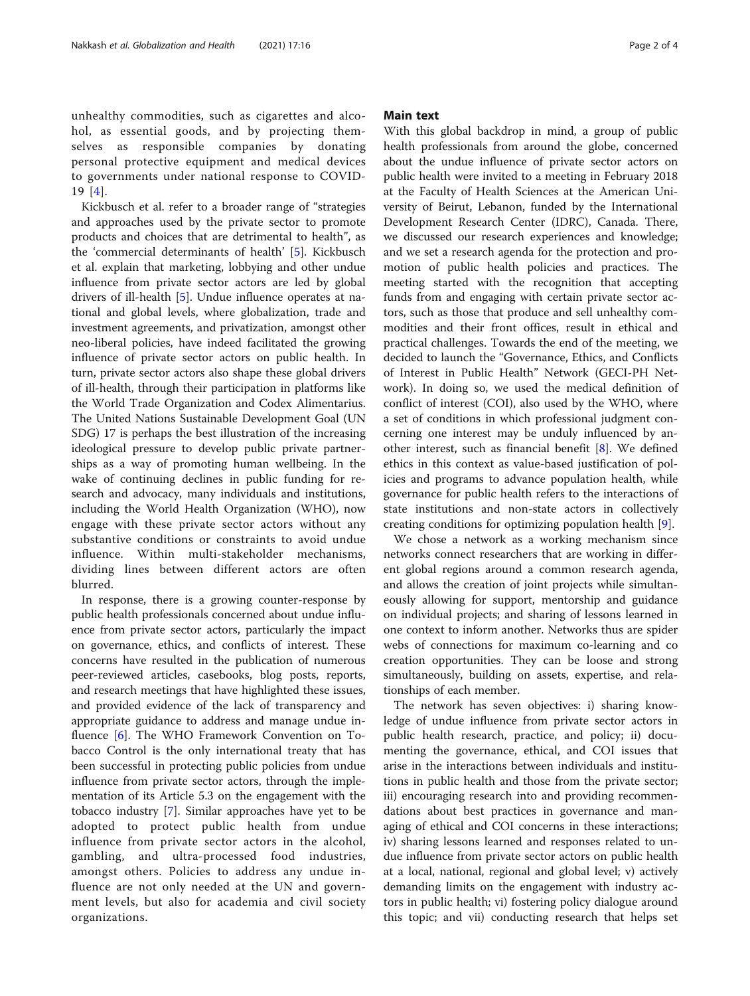unhealthy commodities, such as cigarettes and alcohol, as essential goods, and by projecting themselves as responsible companies by donating personal protective equipment and medical devices to governments under national response to COVID-19 [\[4\]](#page-3-0).

Kickbusch et al. refer to a broader range of "strategies and approaches used by the private sector to promote products and choices that are detrimental to health", as the 'commercial determinants of health' [[5](#page-3-0)]. Kickbusch et al. explain that marketing, lobbying and other undue influence from private sector actors are led by global drivers of ill-health [[5\]](#page-3-0). Undue influence operates at national and global levels, where globalization, trade and investment agreements, and privatization, amongst other neo-liberal policies, have indeed facilitated the growing influence of private sector actors on public health. In turn, private sector actors also shape these global drivers of ill-health, through their participation in platforms like the World Trade Organization and Codex Alimentarius. The United Nations Sustainable Development Goal (UN SDG) 17 is perhaps the best illustration of the increasing ideological pressure to develop public private partnerships as a way of promoting human wellbeing. In the wake of continuing declines in public funding for research and advocacy, many individuals and institutions, including the World Health Organization (WHO), now engage with these private sector actors without any substantive conditions or constraints to avoid undue influence. Within multi-stakeholder mechanisms, dividing lines between different actors are often blurred.

In response, there is a growing counter-response by public health professionals concerned about undue influence from private sector actors, particularly the impact on governance, ethics, and conflicts of interest. These concerns have resulted in the publication of numerous peer-reviewed articles, casebooks, blog posts, reports, and research meetings that have highlighted these issues, and provided evidence of the lack of transparency and appropriate guidance to address and manage undue influence [\[6](#page-3-0)]. The WHO Framework Convention on Tobacco Control is the only international treaty that has been successful in protecting public policies from undue influence from private sector actors, through the implementation of its Article 5.3 on the engagement with the tobacco industry [\[7\]](#page-3-0). Similar approaches have yet to be adopted to protect public health from undue influence from private sector actors in the alcohol, gambling, and ultra-processed food industries, amongst others. Policies to address any undue influence are not only needed at the UN and government levels, but also for academia and civil society organizations.

## Main text

With this global backdrop in mind, a group of public health professionals from around the globe, concerned about the undue influence of private sector actors on public health were invited to a meeting in February 2018 at the Faculty of Health Sciences at the American University of Beirut, Lebanon, funded by the International Development Research Center (IDRC), Canada. There, we discussed our research experiences and knowledge; and we set a research agenda for the protection and promotion of public health policies and practices. The meeting started with the recognition that accepting funds from and engaging with certain private sector actors, such as those that produce and sell unhealthy commodities and their front offices, result in ethical and practical challenges. Towards the end of the meeting, we decided to launch the "Governance, Ethics, and Conflicts of Interest in Public Health" Network (GECI-PH Network). In doing so, we used the medical definition of conflict of interest (COI), also used by the WHO, where a set of conditions in which professional judgment concerning one interest may be unduly influenced by another interest, such as financial benefit [[8\]](#page-3-0). We defined ethics in this context as value-based justification of policies and programs to advance population health, while governance for public health refers to the interactions of state institutions and non-state actors in collectively creating conditions for optimizing population health [[9\]](#page-3-0).

We chose a network as a working mechanism since networks connect researchers that are working in different global regions around a common research agenda, and allows the creation of joint projects while simultaneously allowing for support, mentorship and guidance on individual projects; and sharing of lessons learned in one context to inform another. Networks thus are spider webs of connections for maximum co-learning and co creation opportunities. They can be loose and strong simultaneously, building on assets, expertise, and relationships of each member.

The network has seven objectives: i) sharing knowledge of undue influence from private sector actors in public health research, practice, and policy; ii) documenting the governance, ethical, and COI issues that arise in the interactions between individuals and institutions in public health and those from the private sector; iii) encouraging research into and providing recommendations about best practices in governance and managing of ethical and COI concerns in these interactions; iv) sharing lessons learned and responses related to undue influence from private sector actors on public health at a local, national, regional and global level; v) actively demanding limits on the engagement with industry actors in public health; vi) fostering policy dialogue around this topic; and vii) conducting research that helps set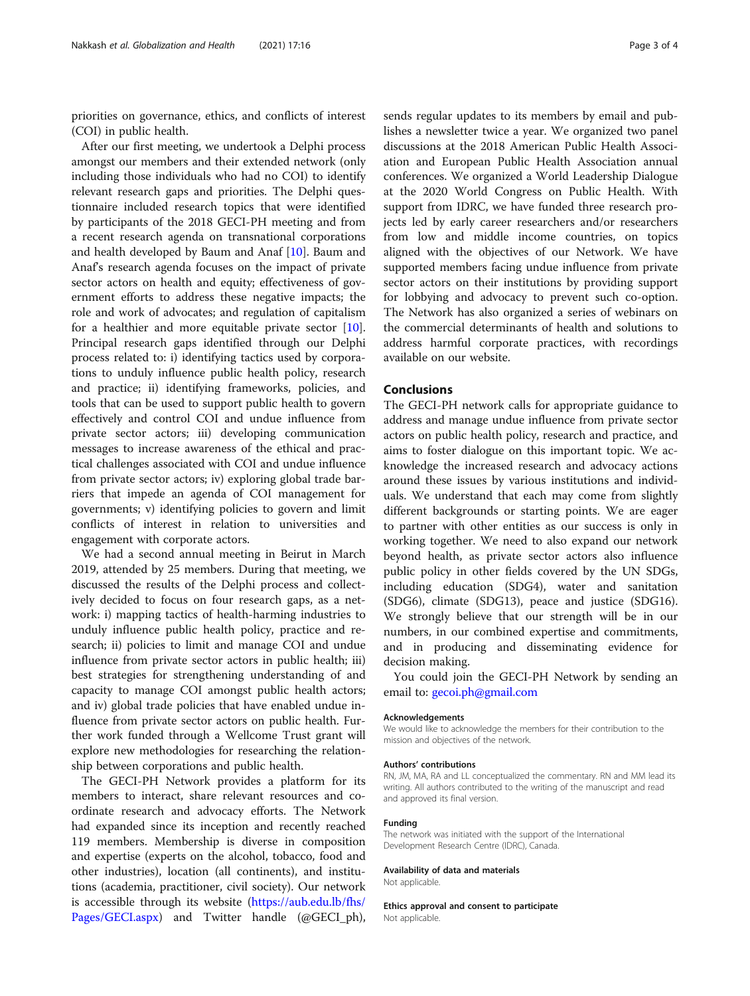priorities on governance, ethics, and conflicts of interest (COI) in public health.

After our first meeting, we undertook a Delphi process amongst our members and their extended network (only including those individuals who had no COI) to identify relevant research gaps and priorities. The Delphi questionnaire included research topics that were identified by participants of the 2018 GECI-PH meeting and from a recent research agenda on transnational corporations and health developed by Baum and Anaf [[10](#page-3-0)]. Baum and Anaf's research agenda focuses on the impact of private sector actors on health and equity; effectiveness of government efforts to address these negative impacts; the role and work of advocates; and regulation of capitalism for a healthier and more equitable private sector [\[10](#page-3-0)]. Principal research gaps identified through our Delphi process related to: i) identifying tactics used by corporations to unduly influence public health policy, research and practice; ii) identifying frameworks, policies, and tools that can be used to support public health to govern effectively and control COI and undue influence from private sector actors; iii) developing communication messages to increase awareness of the ethical and practical challenges associated with COI and undue influence from private sector actors; iv) exploring global trade barriers that impede an agenda of COI management for governments; v) identifying policies to govern and limit conflicts of interest in relation to universities and engagement with corporate actors.

We had a second annual meeting in Beirut in March 2019, attended by 25 members. During that meeting, we discussed the results of the Delphi process and collectively decided to focus on four research gaps, as a network: i) mapping tactics of health-harming industries to unduly influence public health policy, practice and research; ii) policies to limit and manage COI and undue influence from private sector actors in public health; iii) best strategies for strengthening understanding of and capacity to manage COI amongst public health actors; and iv) global trade policies that have enabled undue influence from private sector actors on public health. Further work funded through a Wellcome Trust grant will explore new methodologies for researching the relationship between corporations and public health.

The GECI-PH Network provides a platform for its members to interact, share relevant resources and coordinate research and advocacy efforts. The Network had expanded since its inception and recently reached 119 members. Membership is diverse in composition and expertise (experts on the alcohol, tobacco, food and other industries), location (all continents), and institutions (academia, practitioner, civil society). Our network is accessible through its website ([https://aub.edu.lb/fhs/](https://aub.edu.lb/fhs/Pages/GECI.aspx) [Pages/GECI.aspx](https://aub.edu.lb/fhs/Pages/GECI.aspx)) and Twitter handle (@GECI\_ph), sends regular updates to its members by email and publishes a newsletter twice a year. We organized two panel discussions at the 2018 American Public Health Association and European Public Health Association annual conferences. We organized a World Leadership Dialogue at the 2020 World Congress on Public Health. With support from IDRC, we have funded three research projects led by early career researchers and/or researchers from low and middle income countries, on topics aligned with the objectives of our Network. We have supported members facing undue influence from private sector actors on their institutions by providing support for lobbying and advocacy to prevent such co-option. The Network has also organized a series of webinars on the commercial determinants of health and solutions to address harmful corporate practices, with recordings available on our website.

## Conclusions

The GECI-PH network calls for appropriate guidance to address and manage undue influence from private sector actors on public health policy, research and practice, and aims to foster dialogue on this important topic. We acknowledge the increased research and advocacy actions around these issues by various institutions and individuals. We understand that each may come from slightly different backgrounds or starting points. We are eager to partner with other entities as our success is only in working together. We need to also expand our network beyond health, as private sector actors also influence public policy in other fields covered by the UN SDGs, including education (SDG4), water and sanitation (SDG6), climate (SDG13), peace and justice (SDG16). We strongly believe that our strength will be in our numbers, in our combined expertise and commitments, and in producing and disseminating evidence for decision making.

You could join the GECI-PH Network by sending an email to: [gecoi.ph@gmail.com](mailto:gecoi.ph@gmail.com)

#### Acknowledgements

We would like to acknowledge the members for their contribution to the mission and objectives of the network.

#### Authors' contributions

RN, JM, MA, RA and LL conceptualized the commentary. RN and MM lead its writing. All authors contributed to the writing of the manuscript and read and approved its final version.

#### Funding

The network was initiated with the support of the International Development Research Centre (IDRC), Canada.

#### Availability of data and materials

Not applicable.

Ethics approval and consent to participate Not applicable.